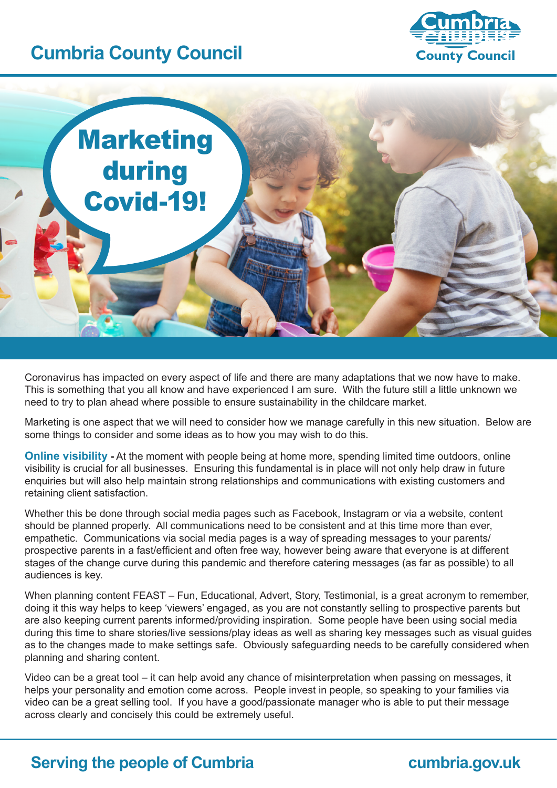## **Cumbria County Council**





Coronavirus has impacted on every aspect of life and there are many adaptations that we now have to make. This is something that you all know and have experienced I am sure. With the future still a little unknown we need to try to plan ahead where possible to ensure sustainability in the childcare market.

Marketing is one aspect that we will need to consider how we manage carefully in this new situation. Below are some things to consider and some ideas as to how you may wish to do this.

**Online visibility** - At the moment with people being at home more, spending limited time outdoors, online visibility is crucial for all businesses. Ensuring this fundamental is in place will not only help draw in future enquiries but will also help maintain strong relationships and communications with existing customers and retaining client satisfaction.

Whether this be done through social media pages such as Facebook, Instagram or via a website, content should be planned properly. All communications need to be consistent and at this time more than ever, empathetic. Communications via social media pages is a way of spreading messages to your parents/ prospective parents in a fast/efficient and often free way, however being aware that everyone is at different stages of the change curve during this pandemic and therefore catering messages (as far as possible) to all audiences is key.

When planning content FEAST – Fun, Educational, Advert, Story, Testimonial, is a great acronym to remember, doing it this way helps to keep 'viewers' engaged, as you are not constantly selling to prospective parents but are also keeping current parents informed/providing inspiration. Some people have been using social media during this time to share stories/live sessions/play ideas as well as sharing key messages such as visual guides as to the changes made to make settings safe. Obviously safeguarding needs to be carefully considered when planning and sharing content.

Video can be a great tool – it can help avoid any chance of misinterpretation when passing on messages, it helps your personality and emotion come across. People invest in people, so speaking to your families via video can be a great selling tool. If you have a good/passionate manager who is able to put their message across clearly and concisely this could be extremely useful.

## **Serving the people of Cumbria <b>cumbria cumbria.gov.uk**